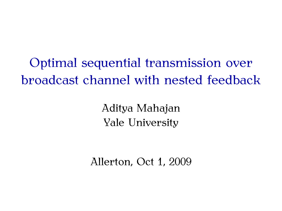Optimal sequential transmission over broadcast channel with nested feedback

> Aditya Mahajan Yale University

Allerton, Oct 1, 2009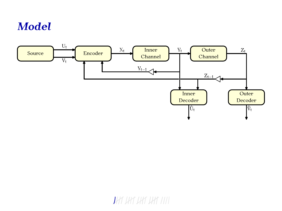# *Model*



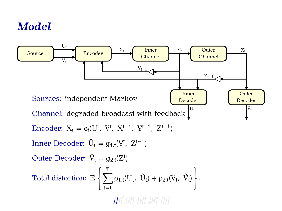# *Model*

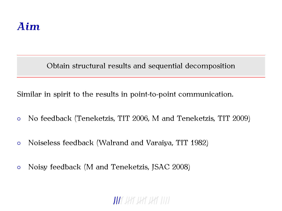Obtain structural results and sequential decomposition

Similar in spirit to the results in point-to-point communication.

- *◦* No feedback (Teneketzis, TIT 2006, M and Teneketzis, TIT 2009)
- *◦* Noiseless feedback (Walrand and Varaiya, TIT 1982)
- *◦* Noisy feedback (M and Teneketzis, JSAC 2008)

### THE USE USE USE 1111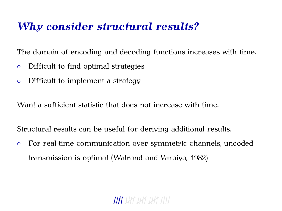### *Why consider structural results?*

The domain of encoding and decoding functions increases with time.

- *◦* Difficult to find optimal strategies
- *◦* Difficult to implement a strategy

Want a sufficient statistic that does not increase with time.

Structural results can be useful for deriving additional results.

*◦* For real-time communication over symmetric channels, uncoded transmission is optimal (Walrand and Varaiya, 1982)

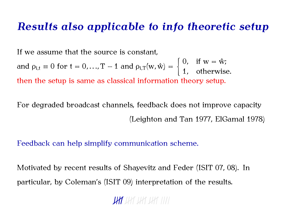#### *Results also applicable to info theoretic setup*

If we assume that the source is constant,

and  $\rho_{i,t} \equiv 0$  for  $t = 0, ..., T - 1$  and  $\rho_{i,T}(w, \hat{w}) =$  $\int 0$ , if w =  $\hat{w}$ ; 1*,* otherwise. then the setup is same as classical information theory setup.

For degraded broadcast channels, feedback does not improve capacity (Leighton and Tan 1977, ElGamal 1978)

Feedback can help simplify communication scheme.

Motivated by recent results of Shayevitz and Feder (ISIT 07, 08). In particular, by Coleman's (ISIT 09) interpretation of the results.

**UHT** UHT UHT UHT IIII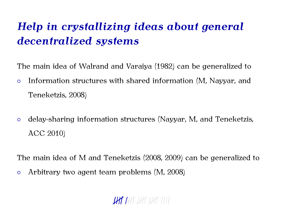# *Help in crystallizing ideas about general decentralized systems*

The main idea of Walrand and Varaiya (1982) can be generalized to

- *◦* Information structures with shared information (M, Nayyar, and Teneketzis, 2008)
- *◦* delay-sharing information structures (Nayyar, M, and Teneketzis, ACC 2010)

The main idea of M and Teneketzis (2008, 2009) can be generalized to

*◦* Arbitrary two agent team problems (M, 2008)

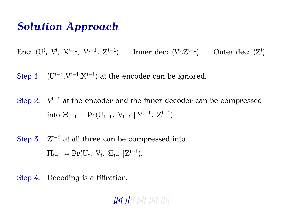### *Solution Approach*

*Enc:* (U<sup>t</sup>, V<sup>t</sup>, X<sup>t−1</sup>, Y<sup>t−1</sup>, Z<sup>t−1</sup>) Inner dec: (Y<sup>t</sup>,Z<sup>t−1</sup>) Outer dec: (Z<sup>t</sup>)

Step 1. (U<sup>t−1</sup>,V<sup>t−1</sup>,X<sup>t−1</sup>) at the encoder can be ignored.

Step 2. Y<sup>t−1</sup> at the encoder and the inner decoder can be compressed  $\text{into } \Xi_{t-1} = \Pr(\mathrm{U}_{t-1}, \ \mathrm{V}_{t-1} \mid \mathrm{Y}^{t-1}, \ \mathrm{Z}^{t-1})$ 

Step 3. Z<sup>t−1</sup> at all three can be compressed into  $\Pi_{t-1} = \Pr(U_t, V_t, \ \mathbb{E}_{t-1} | Z^{t-1}).$ 

Step 4. Decoding is a filtration.

**UAT I**AT UAT UAT IIII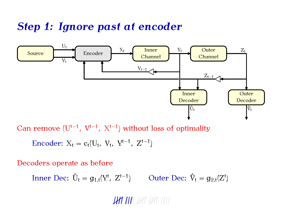### *Step 1: Ignore past at encoder*



Can remove (Ut*−*<sup>1</sup> *,* V t*−*1 *,* Xt*−*<sup>1</sup> ) without loss of optimality

$$
Encoder: X_t = c_t(U_t, V_t, Y^{t-1}, Z^{t-1})
$$

Decoders operate as before

Inner Dec:  $\hat{U}_t = g_{1,t}(Y^t, Z^{t-1})$  Outer Dec:  $\hat{V}_t = g_{2,t}(Z^t)$ 

**UAT AM**T AMT AMT TITT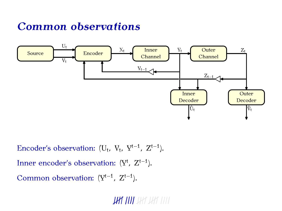## *Common observations*



Encoder's observation:  $(U_t, V_t, Y^{t-1}, Z^{t-1}).$ Inner encoder's observation: (Y<sup>t</sup>, Z<sup>t−1</sup>). Common observation: (Yt*−*<sup>1</sup> *,* Z t*−*1 ).

**THE THE** THE THE TITLE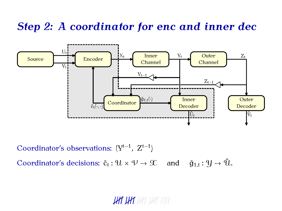## *Step 2: A coordinator for enc and inner dec*



Coordinator's observations: (Yt*−*<sup>1</sup> *,* Z t*−*1 )

Coordinator's decisions:  $\tilde{c}_t : \mathcal{U} \times \mathcal{V} \to \mathcal{X}$  and  $\tilde{g}_{1,t}$ and  $\tilde{g}_{1,t}: \mathcal{Y} \to \hat{\mathcal{U}}.$ 

#### **UAT UAT** UAT UAT IIII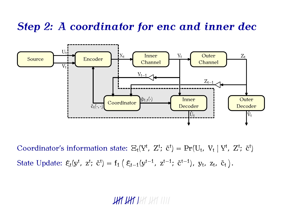## *Step 2: A coordinator for enc and inner dec*



Coordinator's information state:  $\Xi_t(Y^t, Z^t; \tilde{c}^t) = \Pr(U_t, V_t | Y^t, Z^t; \tilde{c}^t)$  ${\rm State \; Update:} \; \xi_t(y^t, \; z^t; \; \tilde{c}^t) = f_1 \left( \; \xi_{t-1}(y^{t-1}, \; z^{t-1}; \; \tilde{c}^{t-1}), \; y_t, \; z_t, \; \tilde{c}_t \right).$ 

#### **JAY JAY** JAY JAY 1111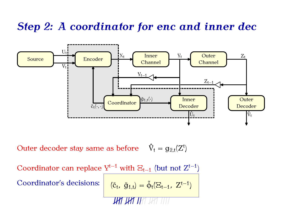## *Step 2: A coordinator for enc and inner dec*



Outer decoder stay same as before  $\hat{V}_t = g_{2,t}(Z^t)$ 

Coordinator can replace Yt*−*<sup>1</sup> with Ξt*−*<sup>1</sup> (but not Zt*−*<sup>1</sup> ) Coordinator's decisions: *,*  $\tilde{g}_{1,t}$  =  $\tilde{\phi}_t(\Xi_{t-1}, Z^{t-1})$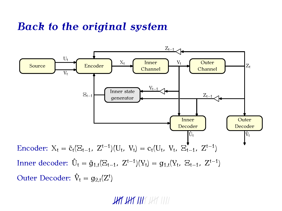### *Back to the original system*



**JAY JAY IA**Y JAY 1111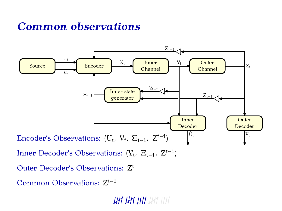## *Common observations*



Common Observations: Z t*−*1

THE THE THE THE TILL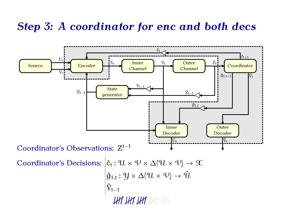### *Step 3: A coordinator for enc and both decs*

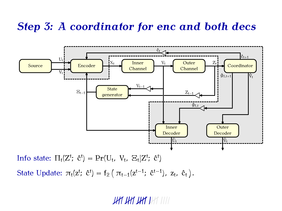### *Step 3: A coordinator for enc and both decs*



Info state:  $\Pi_t(Z^t; \hat{c}^t) = \Pr(U_t, V_t, \Xi_t | Z^t; \hat{c}^t)$ 

State Update:  $\pi_t(z^t; \hat{c}^t) = f_2(\pi_{t-1}(z^{t-1}; \hat{c}^{t-1}), z_t, \hat{c}_t).$ 

#### <u>THE THE THE THE TITLE</u>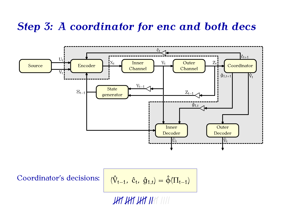### *Step 3: A coordinator for enc and both decs*



**JHT JHT JHT JH**T JIJJ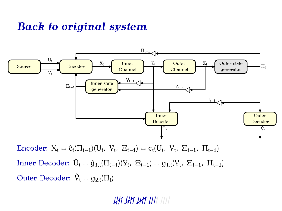### *Back to original system*



Encoder:  $X_t = \hat{c}_t(\Pi_{t-1})(U_t, V_t, \Xi_{t-1}) = c_t(U_t, V_t, \Xi_{t-1}, \Pi_{t-1})$ Inner Decoder:  $\hat{U}_t = \hat{g}_{1,t}(\Pi_{t-1})(Y_t, E_{t-1}) = g_{1,t}(Y_t, E_{t-1}, \Pi_{t-1})$ Outer Decoder:  $\hat{V}_t = g_{2,t}(\Pi_t)$ 

THE THE THE THE VILL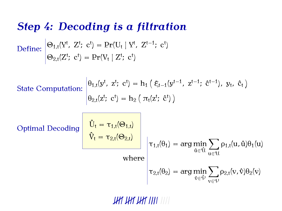#### *Step 4: Decoding is a filtration*

 $\text{Define: } \left| \Theta_{1,t}(Y^t, Z^t; \text{ } c^t) = \Pr(U_t \mid Y^t, Z^{t-1}; \text{ } c^t) \right|$  $\Theta_{2,t}(Z^t; \; \mathrm{c}^t) = \Pr(V_t \mid Z^t; \; \mathrm{c}^t)$ 

**State Computation:** 

$$
\begin{cases} \theta_{1,t}(y^t, z^t; c^t) = h_1 \left( \xi_{t-1}(y^{t-1}, z^{t-1}; \hat{c}^{t-1}), y_t, \hat{c}_t \right) \\ \theta_{2,t}(z^t; c^t) = h_2 \left( \pi_t(z^t; \hat{c}^t) \right) \end{cases}
$$

Optimal Decoding

$$
\hat{V}_t = \tau_{1,t}(\Theta_{1,t})
$$
\n
$$
\hat{V}_t = \tau_{2,t}(\Theta_{2,t})
$$
\nwhere\n
$$
\tau_{1,t}(\theta_1) = \arg\min_{\hat{u} \in \hat{u}} \sum_{u \in \hat{u}} \rho_{1,t}(u, \hat{u})\theta_1(u)
$$
\n
$$
\tau_{2,t}(\theta_2) = \arg\min_{\hat{v} \in \hat{\psi}} \sum_{v \in \hat{\psi}} \rho_{2,t}(v, \hat{v})\theta_2(v)
$$

<u>THE THE THE THE TITLE</u>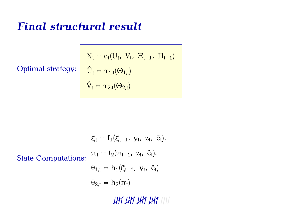### *Final structural result*

Optimal strategy:

$$
X_t = c_t(U_t, V_t, E_{t-1}, \Pi_{t-1})
$$
  

$$
\hat{U}_t = \tau_{1,t}(\Theta_{1,t})
$$
  

$$
\hat{V}_t = \tau_{2,t}(\Theta_{2,t})
$$

State Computations:

\n
$$
\begin{cases}\n\xi_t = f_1(\xi_{t-1}, y_t, z_t, \tilde{c}_t).\n\end{cases}
$$
\nState Computations:

\n
$$
\begin{cases}\n\pi_t = f_2(\pi_{t-1}, z_t, \hat{c}_t).\n\theta_{1,t} = h_1(\xi_{t-1}, y_t, \hat{c}_t).\n\theta_{2,t} = h_2(\pi_t)\n\end{cases}
$$

HAT HAT HAT IIII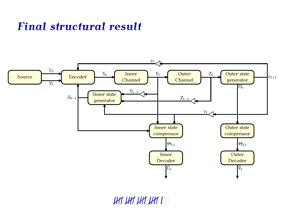# *Final structural result*



HAT HAT HAT IIII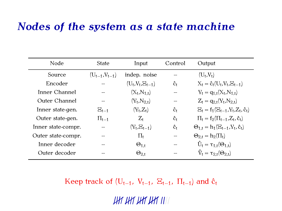#### *Nodes of the system as a state machine*

| Node               | <b>State</b>         | Input                   | Control                | Output                                          |
|--------------------|----------------------|-------------------------|------------------------|-------------------------------------------------|
| Source             | $(U_{t-1}, V_{t-1})$ | indep. noise            |                        | $(U_t, V_t)$                                    |
| Encoder            |                      | $(U_t, V_t, \Xi_{t-1})$ | Ĉt                     | $X_t = \hat{c}_t(U_t, V_t, E_{t-1})$            |
| Inner Channel      |                      | $(X_t, N_{1,t})$        |                        | $Y_t = q_{1,t}(X_t, N_{1,t})$                   |
| Outer Channel      |                      | $(Y_t, N_{2,t})$        |                        | $Z_t = q_{2,t}(Y_t, N_{2,t})$                   |
| Inner state-gen.   | $E_{t-1}$            | $(Y_t, Z_t)$            | Ĉt                     | $E_t = f_1(E_{t-1}, Y_t, Z_t, \hat{c}_t)$       |
| Outer state-gen.   | $\Pi_{t-1}$          | $Z_{t}$                 | Ĉt                     | $\Pi_t = f_2(\Pi_{t-1}, Z_t, \hat{c}_t)$        |
| Inner state-compr. |                      | $(Y_t,E_{t-1})$         | $\mathbf{\hat{c}}_{t}$ | $\Theta_{1,t} = h_1(\Xi_{t-1}, Y_t, \hat{c}_t)$ |
| Outer state-compr. |                      | $\Pi_{\mathsf{f}}$      |                        | $\Theta_{2,t} = h_2(\Pi_t)$                     |
| Inner decoder      |                      | $\Theta_{1,t}$          |                        | $\hat{U}_t = \tau_{1,t}(\Theta_{1,t})$          |
| Outer decoder      |                      | $\Theta_{2,t}$          |                        | $\hat{V}_1 = \tau_{2,t}(\Theta_{2,t})$          |

Keep track of  $(U_{t-1}, V_{t-1}, E_{t-1}, \Pi_{t-1})$  and  $\hat{c}_t$ 

HAT HAT HAT HIT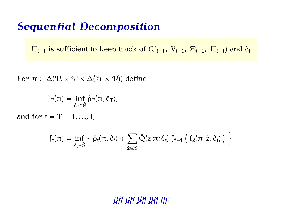### *Sequential Decomposition*

 $\Pi_{t-1}$  is sufficient to keep track of  $(U_{t-1}, V_{t-1}, E_{t-1}, \Pi_{t-1})$  and  $\hat{c}_t$ 

For  $\pi \in \Delta(\mathcal{U} \times \mathcal{V} \times \Delta(\mathcal{U} \times \mathcal{V}))$  define

$$
J_T(\pi) = \inf_{\hat{c}_T \in \hat{\mathcal{C}}} \hat{\rho}_T(\pi, \hat{c}_T),
$$

and for  $t = T - 1, \ldots, 1$ ,

$$
J_t(\pi) = \inf_{\hat{c}_t \in \hat{\mathcal{C}}} \left\{ \hat{\rho}_t(\pi, \hat{c}_t) + \sum_{\tilde{z} \in \mathcal{Z}} \hat{Q}(\tilde{z} | \pi; \hat{c}_t) J_{t+1} \left( f_2(\pi, \tilde{z}, \hat{c}_t) \right) \right\}
$$

THÍ THÍ THÍ THÍ III